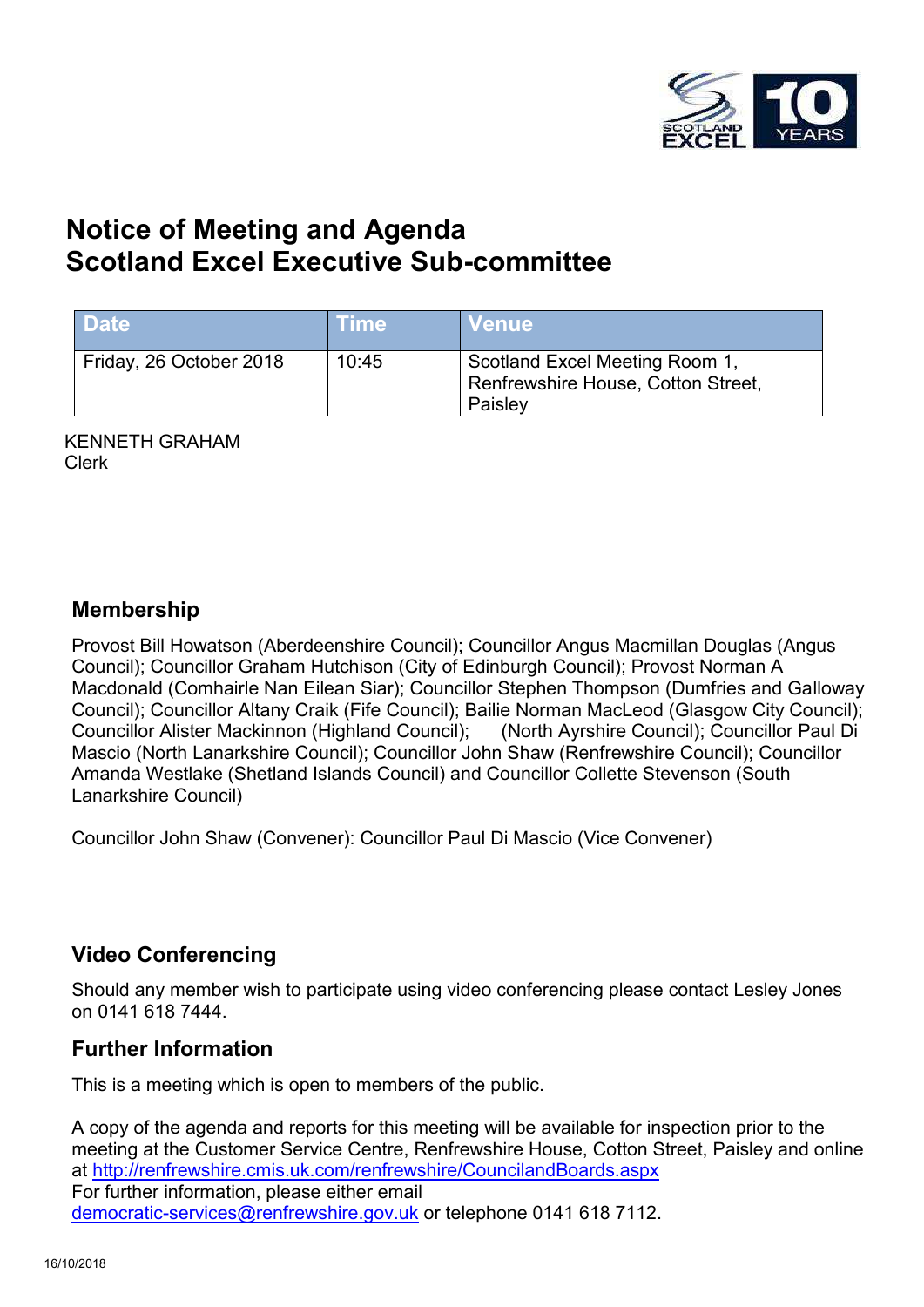

# **Notice of Meeting and Agenda Scotland Excel Executive Sub-committee**

| <b>Date</b>             | <b>Time</b> | Venue                                                                           |
|-------------------------|-------------|---------------------------------------------------------------------------------|
| Friday, 26 October 2018 | 10:45       | Scotland Excel Meeting Room 1,<br>Renfrewshire House, Cotton Street,<br>Paisley |

KENNETH GRAHAM Clerk

### **Membership**

Provost Bill Howatson (Aberdeenshire Council); Councillor Angus Macmillan Douglas (Angus Council); Councillor Graham Hutchison (City of Edinburgh Council); Provost Norman A Macdonald (Comhairle Nan Eilean Siar); Councillor Stephen Thompson (Dumfries and Galloway Council); Councillor Altany Craik (Fife Council); Bailie Norman MacLeod (Glasgow City Council); Councillor Alister Mackinnon (Highland Council); (North Ayrshire Council); Councillor Paul Di Mascio (North Lanarkshire Council); Councillor John Shaw (Renfrewshire Council); Councillor Amanda Westlake (Shetland Islands Council) and Councillor Collette Stevenson (South Lanarkshire Council)

Councillor John Shaw (Convener): Councillor Paul Di Mascio (Vice Convener)

### **Video Conferencing**

Should any member wish to participate using video conferencing please contact Lesley Jones on 0141 618 7444.

### **Further Information**

This is a meeting which is open to members of the public.

A copy of the agenda and reports for this meeting will be available for inspection prior to the meeting at the Customer Service Centre, Renfrewshire House, Cotton Street, Paisley and online at <http://renfrewshire.cmis.uk.com/renfrewshire/CouncilandBoards.aspx> For further information, please either email [democratic-services@renfrewshire.gov.uk](mailto:democratic-services@renfrewshire.gov.uk) or telephone 0141 618 7112.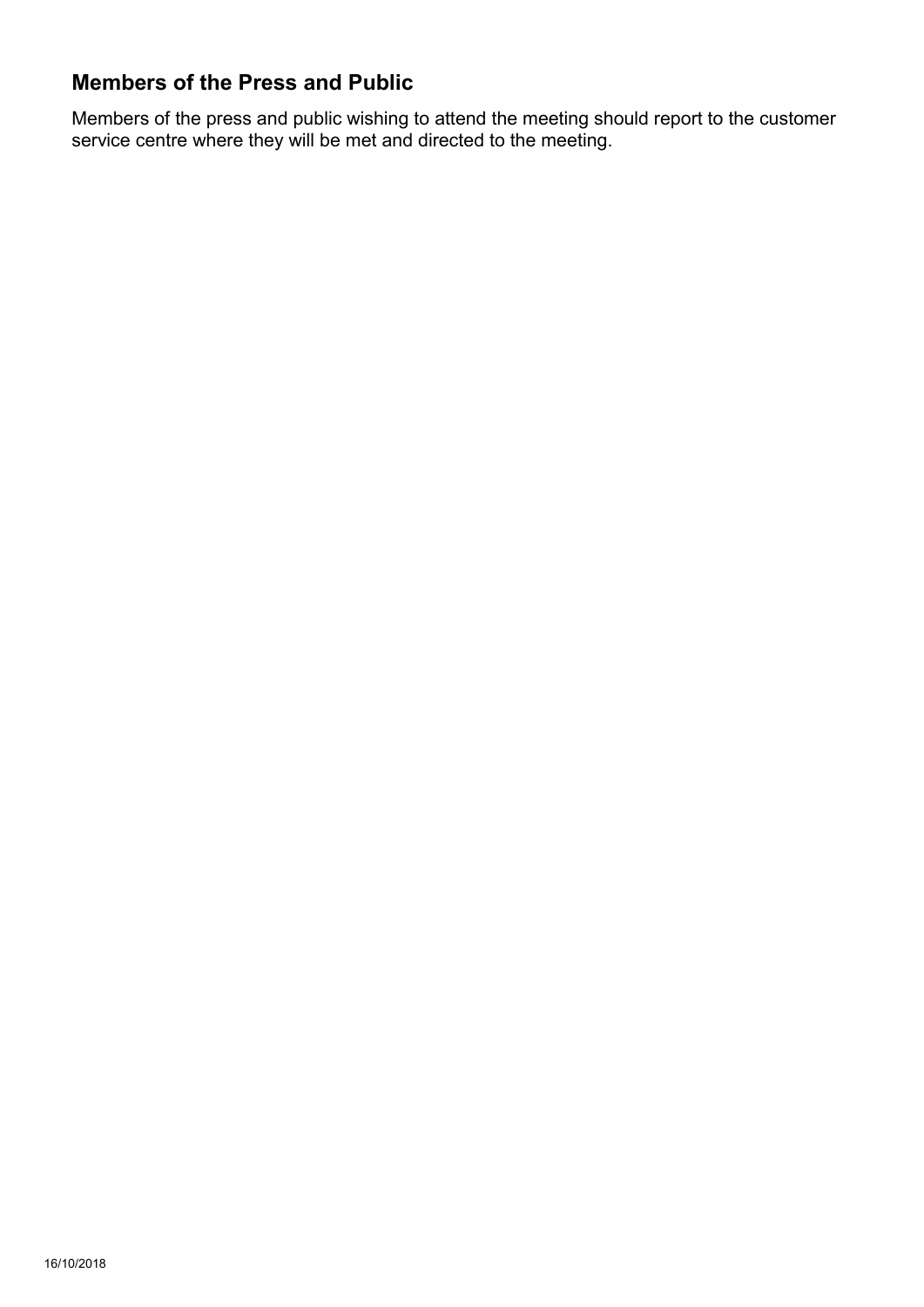## **Members of the Press and Public**

Members of the press and public wishing to attend the meeting should report to the customer service centre where they will be met and directed to the meeting.